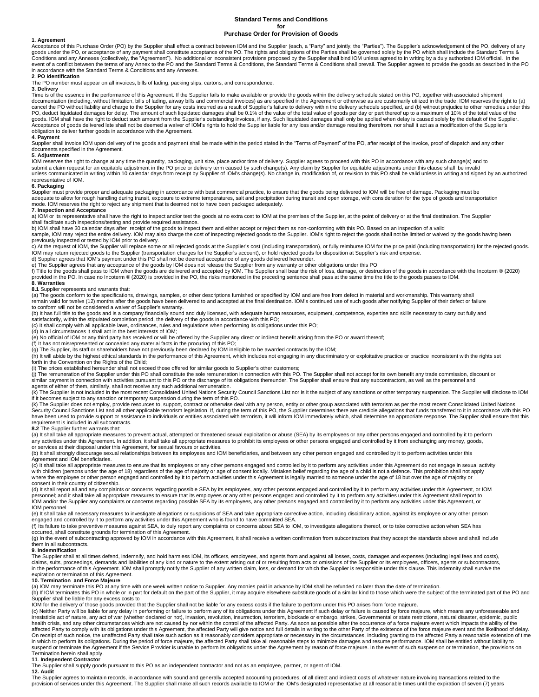### **Standard Terms and Conditions for**

# **Purchase Order for Provision of Goods**

### **1**. **Agreement**

Acceptance of this Purchase Order (PO) by the Supplier shall effect a contract between IOM and the Supplier (each, a "Party" and jointly, the "Parties"). The Supplier's acknowledgement of the PO, delivery of any poods unde in accordance with the Standard Terms & Conditions and any Annexes.

# **2***.* **PO Identification**

The PO number must appear on all invoices, bills of lading, packing slips, cartons, and correspondence.

# **3**. **Delivery**

Time is of the essence in the performance of this Agreement. If the Supplier fails to make available or provide the goods within the delivery schedule stated on this PO, together with associated shipment documentation (inc Acceptance of goods delivered late shall not be deemed a waiver of IOM's rights to hold the Supplier liable for any loss and/or damage resulting therefrom, nor shall it act as a modification of the Supplier's obligation to deliver further goods in accordance with the Agreement.

# **4**. **Payment**

Supplier shall invoice IOM upon delivery of the goods and payment shall be made within the period stated in the "Terms of Payment" of the PO, after receipt of the invoice, proof of dispatch and any other<br>documents specifie

## **5**. **Adjustments**

IOM reserves the right to change at any time the quantity, packaging, unit size, place and/or time of delivery. Supplier agrees to proceed with this PO in accordance with any such change(s) and to<br>submit a claim request fo unless communicated in writing within 10 calendar days from receipt by Supplier of IOM's change(s). No change in, modification of, or revision to this PO shall be valid unless in writing and signed by an authorized representative of IOM.

### **6**. **Packaging**

Supplier must provide proper and adequate packaging in accordance with best commercial practice, to ensure that the goods being delivered to IOM will be free of damage. Packaging must be<br>adequate to allow for rough handlin mode. IOM reserves the right to reject any shipment that is deemed not to have been packaged adequately.

### **7**. **Inspection and Acceptance**

a) IOM or its representative shall have the right to inspect and/or test the goods at no extra cost to IOM at the premises of the Supplier, at the point of delivery or at the final destination. The Supplier

shall facilitate such inspections/testing and provide required assistance.<br>b) IOM shall have 30 calendar days after receipt of the goods to inspect them and either accept or reject them as non-conforming with this PO. Base

# previously inspected or tested by IOM prior to delivery.

c) At the request of IOM, the Supplier will replace some or all rejected goods at the Supplier's cost (including transportation), or fully reimburse IOM for the price paid (including transportation) for the rejected goods.

### **8**. **Warranties**

**8.1** Supplier represents and warrants that:

La) The goods conform to the specifications, drawings, samples, or other descriptions furnished or specified by IOM and are free from defect in material and workmanship. This warranty shall remain valid for twelve (12) months after the goods have been delivered to and accepted at the final destination. IOM's continued use of such goods after notifying Supplier of their defect or failure to conform will not be considered a waiver of Supplier's warranty.

(b) It has full title to the goods and is a company financially sound and duly licensed, with adequate human resources, equipment, competence, expertise and skills necessary to carry out fully and

satisfactorily, within the stipulated completion period, the delivery of the goods in accordance with this PO;<br>(c) It shall comply with all applicable laws, ordinances, rules and regulations when performing its obligations

(d) In all circumstances it shall act in the best interests of IOM;

(e) No official of IOM or any third party has received or will be offered by the Supplier any direct or indirect benefit arising from the PO or award thereof;

(f) It has not misrepresented or concealed any material facts in the procuring of this PO;

(g) The Supplier, its staff or shareholders have not previously been declared by IOM ineligible to be awarded contracts by the IOM;<br>(h) It will abide by the highest ethical standards in the performance of this Agreement, w forth in the Convention on the Rights of the Child;

(i) The prices established hereunder shall not exceed those offered for similar goods to Supplier's other customers;<br>(j) The remuneration of the Supplier under this PO shall constitute the sole remuneration in connection w

similar payment in connection with activities pursuant to this PO or the discharge of its obligations thereunder. The Supplier shall ensure that any subcontractors, as well as the personnel and<br>agents of either of them, si

(k) The Supplier is not included in the most recent Consolidated United Nations Security Council Sanctions List nor is it the subject of any sanctions or other temporary suspension. The Supplier will disclose to IOM if it becomes subject to any sanction or temporary suspension during the term of this PO.

(k) The Supplier does not employ, provide resources to, support, contract or otherwise deal with any person, entity or other group associated with terrorism as per the most recent Consolidated United Nations Security Council Sanctions List and all other applicable terrorism legislation. If, during the term of this PO, the Supplier determines there are credible allegations that funds transferred to it in accordance with this PO requirement is included in all subcontracts.

8.2 The Supplier further warrants that:<br>(a) It shall take all appropriate measures to prevent actual, attempted or threatened sexual exploitation or abuse (SEA) by its employees or any other persons engaged and controlled any activities under this Agreement. In addition, it shall take all appropriate measures to prohibit its employees or other persons engaged and controlled by it from exchanging any money, goods,<br>or services at their dispos

(b) It shall strongly discourage sexual relationships between its employees and IOM beneficiaries, and between any other person engaged and controlled by it to perform activities under this Agreement and IOM beneficiaries.

(c) It shall take all appropriate measures to ensure that its employees or any other persons engaged and controlled by it to perform any activities under this Agreement do not engage in sexual activity<br>with children (perso where the employee or other person engaged and controlled by it to perform activities under this Agreement is legally married to someone under the age of 18 but over the age of majority or consent in their country of citizenship.

(d) It shall report all and any complaints or concerns regarding possible SEA by its employees, any other persons engaged and controlled by it to perform any activities under this Agreement, or IOM<br>personnel; and it shall IOM personnel

(e) It shall take all necessary measures to investigate allegations or suspicions of SEA and take appropriate corrective action, including disciplinary action, against its employee or any other person engaged and controlled by it to perform any activities under this Agreement who is found to have committed SEA.

(f) Its failure to take preventive measures against SEA, to duly report any complaints or concerns about SEA to IOM, to investigate allegations thereof, or to take corrective action when SEA has<br>occurred, shall constitute

(g) In the event of subcontracting approved by IOM in accordance with this Agreement, it shall receive a written confirmation from subcontractors that they accept the standards above and shall include them in all subcontracts.

### **9**. **Indemnification**

The Supplier shall at all times defend, indemnify, and hold harmless IOM, its officers, employees, and agents from and against all losses, costs, damages and expenses (including legal fees and costs),<br>claims, suits, procee in the performance of this Agreement. IOM shall promptly notify the Supplier of any written claim, loss, or demand for which the Supplier is responsible under this clause. This indemnity shall survive the<br>expiration or ter

### **10. Termination and Force Majeure**

(a) IOM may terminate this PO at any time with one week written notice to Supplier. Any monies paid in advance by IOM shall be refunded no later than the date of termination.<br>(b) If IOM terminates this PO in whole or in pa Supplier shall be liable for any excess costs to

IOM for the delivery of those goods provided that the Supplier shall not be liable for any excess costs if the failure to perform under this PO arises from force majeure.

(c) Neither Party will be liable for any delay in performing or failure to perform any of its obligations under this Agreement if such delay or failure is caused by force majeure, which means any unforeseeable and irresistible act of nature, any act of war (whether declared or not), invasion, revolution, insurrection, terrorism, blockade or embargo, strikes, Governmental or state restrictions, natural disaster, epidemic, public heat in which to perform its obligations. During the period of force majeure, the affected Party shall take all reasonable steps to minimize damages and resume performance. IOM shall be entitled without liability to suspend or terminate the Agreement if the Service Provider is unable to perform its obligations under the Agreement by reason of force majeure. In the event of such suspension or termination, the provisions on<br>Termination

### **11**. **Independent Contractor**

The Supplier shall supply goods pursuant to this PO as an independent contractor and not as an employee, partner, or agent of IOM.

# **12. Audit**

The Supplier agrees to maintain records, in accordance with sound and generally accepted accounting procedures, of all direct and indirect costs of whatever nature involving transactions related to the<br>provision of service